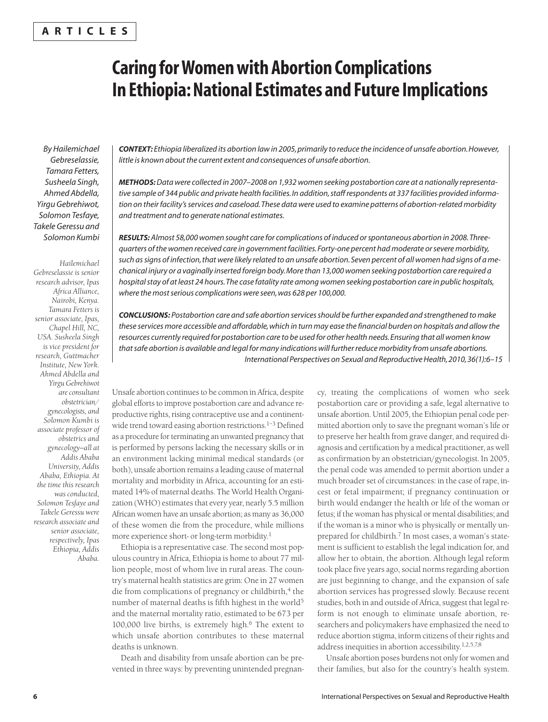# **A R T I C L E S**

# **Caring for Women with Abortion Complications In Ethiopia: National Estimates and Future Implications**

*By Hailemichael Gebreselassie, Tamara Fetters, Susheela Singh, Ahmed Abdella, Yirgu Gebrehiwot, Solomon Tesfaye, Takele Geressu and Solomon Kumbi*

*Hailemichael Gebreselassie is senior research advisor, Ipas Africa Alliance, Nairobi, Kenya. Tamara Fetters is senior associate, Ipas, Chapel Hill, NC, USA. Susheela Singh is vice president for research, Guttmacher Institute, New York. Ahmed Abdella and Yirgu Gebrehiwot are consultant obstetrician/ gynecologists, and Solomon Kumbi is associate professor of obstetrics and gynecology—all at Addis Ababa University, Addis Ababa, Ethiopia. At the time this research was conducted, Solomon Tesfaye and Takele Geressu were research associate and senior associate, respectively, Ipas Ethiopia, Addis Ababa.*

*CONTEXT: Ethiopia liberalized its abortion law in 2005, primarily to reduce the incidence of unsafe abortion. However, little is known about the current extent and consequences of unsafe abortion.*

*METHODS:Data were collected in 2007–2008 on 1,932 women seeking postabortion care at a nationally representative sample of 344 public and private health facilities. In addition, staff respondents at 337 facilities provided information on their facility's services and caseload. These data were used to examine patterns of abortion-related morbidity and treatment and to generate national estimates.*

*RESULTS: Almost 58,000 women sought care for complications of induced or spontaneous abortion in 2008. Threequarters of the women received care in government facilities. Forty-one percent had moderate or severe morbidity, such as signs of infection, that were likely related to an unsafe abortion. Seven percent of all women had signs of a mechanical injury or a vaginally inserted foreign body. More than 13,000 women seeking postabortion care required a hospital stay of at least 24 hours. The case fatality rate among women seeking postabortion care in public hospitals, where the most serious complications were seen, was 628 per 100,000.*

*CONCLUSIONS: Postabortion care and safe abortion services should be further expanded and strengthened to make these services more accessible and affordable, which in turn may ease the financial burden on hospitals and allow the resources currently required for postabortion care to be used for other health needs. Ensuring that all women know that safe abortion is available and legal for many indications will further reduce morbidity from unsafe abortions. International Perspectives on Sexual and Reproductive Health, 2010, 36(1):6–15*

Unsafe abortion continues to be common in Africa, despite global efforts to improve postabortion care and advance reproductive rights, rising contraceptive use and a continentwide trend toward easing abortion restrictions.<sup>1-3</sup> Defined as a procedure for terminating an unwanted pregnancy that is performed by persons lacking the necessary skills or in an environment lacking minimal medical standards (or both), unsafe abortion remains a leading cause of maternal mortality and morbidity in Africa, accounting for an estimated 14% of maternal deaths. The World Health Organization (WHO) estimates that every year, nearly 5.5 million African women have an unsafe abortion; as many as 36,000 of these women die from the procedure, while millions more experience short- or long-term morbidity.1

Ethiopia is a representative case. The second most populous country in Africa, Ethiopia is home to about 77 million people, most of whom live in rural areas. The country's maternal health statistics are grim: One in 27 women die from complications of pregnancy or childbirth,<sup>4</sup> the number of maternal deaths is fifth highest in the world<sup>5</sup> and the maternal mortality ratio, estimated to be 673 per 100,000 live births, is extremely high. $6$  The extent to which unsafe abortion contributes to these maternal deaths is unknown.

Death and disability from unsafe abortion can be prevented in three ways: by preventing unintended pregnan-

cy, treating the complications of women who seek postabortion care or providing a safe, legal alternative to unsafe abortion. Until 2005, the Ethiopian penal code permitted abortion only to save the pregnant woman's life or to preserve her health from grave danger, and required diagnosis and certification by a medical practitioner, as well as confirmation by an obstetrician/gynecologist. In 2005, the penal code was amended to permit abortion under a much broader set of circumstances: in the case of rape, incest or fetal impairment; if pregnancy continuation or birth would endanger the health or life of the woman or fetus; if the woman has physical or mental disabilities; and if the woman is a minor who is physically or mentally unprepared for childbirth.<sup>7</sup> In most cases, a woman's statement is sufficient to establish the legal indication for, and allow her to obtain, the abortion. Although legal reform took place five years ago, social norms regarding abortion are just beginning to change, and the expansion of safe abortion services has progressed slowly. Because recent studies, both in and outside of Africa, suggest that legal reform is not enough to eliminate unsafe abortion, researchers and policymakers have emphasized the need to reduce abortion stigma, inform citizens of their rights and address inequities in abortion accessibility.1,2,5,7,8

Unsafe abortion poses burdens not only for women and their families, but also for the country's health system.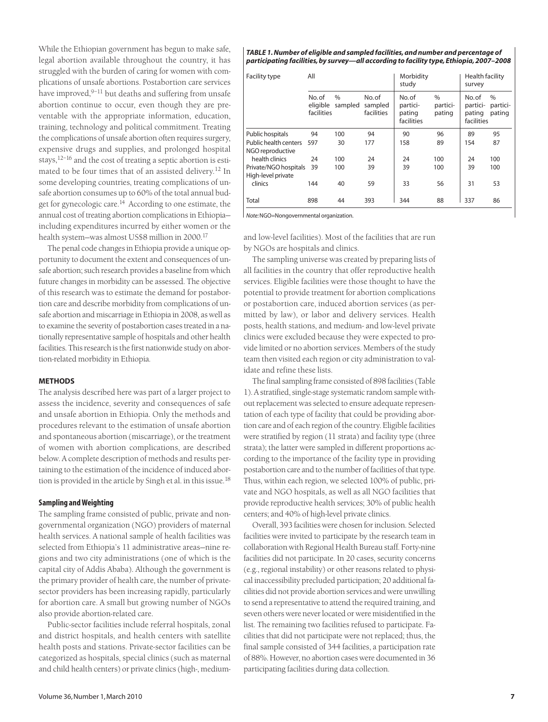While the Ethiopian government has begun to make safe, legal abortion available throughout the country, it has struggled with the burden of caring for women with complications of unsafe abortions. Postabortion care services have improved, $9-11$  but deaths and suffering from unsafe abortion continue to occur, even though they are preventable with the appropriate information, education, training, technology and political commitment. Treating the complications of unsafe abortion often requires surgery, expensive drugs and supplies, and prolonged hospital stays,12–16 and the cost of treating a septic abortion is estimated to be four times that of an assisted delivery.<sup>12</sup> In some developing countries, treating complications of unsafe abortion consumes up to 60% of the total annual budget for gynecologic care.<sup>14</sup> According to one estimate, the annual cost of treating abortion complications in Ethiopia including expenditures incurred by either women or the health system—was almost US\$8 million in 2000.17

The penal code changes in Ethiopia provide a unique opportunity to document the extent and consequences of unsafe abortion; such research provides a baseline from which future changes in morbidity can be assessed. The objective of this research was to estimate the demand for postabortion care and describe morbidity from complications of unsafe abortion and miscarriage in Ethiopia in 2008, as well as to examine the severity of postabortion cases treated in a nationally representative sample of hospitals and other health facilities. This research is the first nationwide study on abortion-related morbidity in Ethiopia.

# **METHODS**

The analysis described here was part of a larger project to assess the incidence, severity and consequences of safe and unsafe abortion in Ethiopia. Only the methods and procedures relevant to the estimation of unsafe abortion and spontaneous abortion (miscarriage), or the treatment of women with abortion complications, are described below. A complete description of methods and results pertaining to the estimation of the incidence of induced abortion is provided in the article by Singh et al. in this issue.<sup>18</sup>

# **Sampling and Weighting**

The sampling frame consisted of public, private and nongovernmental organization (NGO) providers of maternal health services. A national sample of health facilities was selected from Ethiopia's 11 administrative areas—nine regions and two city administrations (one of which is the capital city of Addis Ababa). Although the government is the primary provider of health care, the number of privatesector providers has been increasing rapidly, particularly for abortion care. A small but growing number of NGOs also provide abortion-related care.

Public-sector facilities include referral hospitals, zonal and district hospitals, and health centers with satellite health posts and stations. Private-sector facilities can be categorized as hospitals, special clinics (such as maternal and child health centers) or private clinics (high-, medium-

#### *TABLE 1. Number of eligible and sampled facilities, and number and percentage of participating facilities, by survey—all according to facility type, Ethiopia, 2007–2008*

| Facility type                               | All                             |                          |                                | Morbidity<br>study                        |                                     | Health facility<br>survey                 |                            |
|---------------------------------------------|---------------------------------|--------------------------|--------------------------------|-------------------------------------------|-------------------------------------|-------------------------------------------|----------------------------|
|                                             | No.of<br>eligible<br>facilities | $\frac{0}{0}$<br>sampled | No.of<br>sampled<br>facilities | No.of<br>partici-<br>pating<br>facilities | $\frac{0}{0}$<br>partici-<br>pating | No.of<br>partici-<br>pating<br>facilities | $\%$<br>partici-<br>pating |
| Public hospitals                            | 94                              | 100                      | 94                             | 90                                        | 96                                  | 89                                        | 95                         |
| Public health centers<br>NGO reproductive   | 597                             | 30                       | 177                            | 158                                       | 89                                  | 154                                       | 87                         |
| health clinics                              | 24                              | 100                      | 24                             | 24                                        | 100                                 | 24                                        | 100                        |
| Private/NGO hospitals<br>High-level private | 39                              | 100                      | 39                             | 39                                        | 100                                 | 39                                        | 100                        |
| clinics                                     | 144                             | 40                       | 59                             | 33                                        | 56                                  | 31                                        | 53                         |
| Total                                       | 898                             | 44                       | 393                            | 344                                       | 88                                  | 337                                       | 86                         |

*Note:*NGO=Nongovernmental organization.

and low-level facilities). Most of the facilities that are run by NGOs are hospitals and clinics.

The sampling universe was created by preparing lists of all facilities in the country that offer reproductive health services. Eligible facilities were those thought to have the potential to provide treatment for abortion complications or postabortion care, induced abortion services (as permitted by law), or labor and delivery services. Health posts, health stations, and medium- and low-level private clinics were excluded because they were expected to provide limited or no abortion services. Members of the study team then visited each region or city administration to validate and refine these lists.

The final sampling frame consisted of 898 facilities (Table 1). A stratified, single-stage systematic random sample without replacement was selected to ensure adequate representation of each type of facility that could be providing abortion care and of each region of the country. Eligible facilities were stratified by region (11 strata) and facility type (three strata); the latter were sampled in different proportions according to the importance of the facility type in providing postabortion care and to the number of facilities of that type. Thus, within each region, we selected 100% of public, private and NGO hospitals, as well as all NGO facilities that provide reproductive health services; 30% of public health centers; and 40% of high-level private clinics.

Overall, 393 facilities were chosen for inclusion. Selected facilities were invited to participate by the research team in collaboration with Regional Health Bureau staff. Forty-nine facilities did not participate. In 20 cases, security concerns (e.g., regional instability) or other reasons related to physical inaccessibility precluded participation; 20 additional facilities did not provide abortion services and were unwilling to send a representative to attend the required training, and seven others were never located or were misidentified in the list. The remaining two facilities refused to participate. Facilities that did not participate were not replaced; thus, the final sample consisted of 344 facilities, a participation rate of 88%. However, no abortion cases were documented in 36 participating facilities during data collection.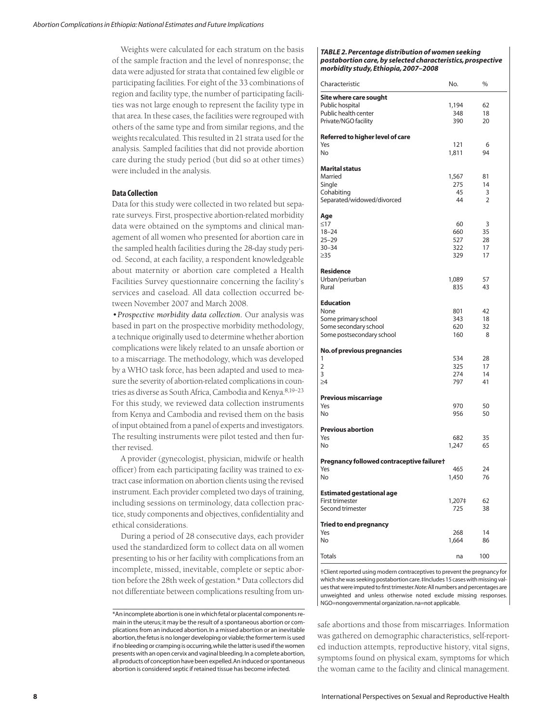Weights were calculated for each stratum on the basis of the sample fraction and the level of nonresponse; the data were adjusted for strata that contained few eligible or participating facilities. For eight of the 33 combinations of region and facility type, the number of participating facilities was not large enough to represent the facility type in that area. In these cases, the facilities were regrouped with others of the same type and from similar regions, and the weights recalculated. This resulted in 21 strata used for the analysis. Sampled facilities that did not provide abortion care during the study period (but did so at other times) were included in the analysis.

#### **Data Collection**

Data for this study were collected in two related but separate surveys. First, prospective abortion-related morbidity data were obtained on the symptoms and clinical management of all women who presented for abortion care in the sampled health facilities during the 28-day study period. Second, at each facility, a respondent knowledgeable about maternity or abortion care completed a Health Facilities Survey questionnaire concerning the facility's services and caseload. All data collection occurred between November 2007 and March 2008.

*•Prospective morbidity data collection.* Our analysis was based in part on the prospective morbidity methodology, a technique originally used to determine whether abortion complications were likely related to an unsafe abortion or to a miscarriage. The methodology, which was developed by a WHO task force, has been adapted and used to measure the severity of abortion-related complications in countries as diverse as South Africa, Cambodia and Kenya.8,19–23 For this study, we reviewed data collection instruments from Kenya and Cambodia and revised them on the basis of input obtained from a panel of experts and investigators. The resulting instruments were pilot tested and then further revised.

A provider (gynecologist, physician, midwife or health officer) from each participating facility was trained to extract case information on abortion clients using the revised instrument. Each provider completed two days of training, including sessions on terminology, data collection practice, study components and objectives, confidentiality and ethical considerations.

During a period of 28 consecutive days, each provider used the standardized form to collect data on all women presenting to his or her facility with complications from an incomplete, missed, inevitable, complete or septic abortion before the 28th week of gestation.\* Data collectors did not differentiate between complications resulting from un-

#### *TABLE 2. Percentage distribution of women seeking postabortion care, by selected characteristics, prospective morbidity study, Ethiopia, 2007–2008*

| Characteristic                            | No.        | %              |
|-------------------------------------------|------------|----------------|
| Site where care sought                    |            |                |
| Public hospital                           | 1,194      | 62             |
| Public health center                      | 348        | 18             |
| Private/NGO facility                      | 390        | 20             |
| Referred to higher level of care<br>Yes   | 121        | 6              |
| No                                        | 1,811      | 94             |
|                                           |            |                |
| <b>Marital status</b><br>Married          | 1,567      | 81             |
| Single                                    | 275        | 14             |
| Cohabiting                                | 45         | 3              |
| Separated/widowed/divorced                | 44         | $\overline{2}$ |
| Age                                       |            |                |
| $\leq$ 17                                 | 60         | 3              |
| $18 - 24$                                 | 660        | 35             |
| $25 - 29$                                 | 527        | 28             |
| $30 - 34$                                 | 322        | 17             |
| $\geq$ 35                                 | 329        | 17             |
| <b>Residence</b>                          |            |                |
| Urban/periurban                           | 1,089      | 57             |
| Rural                                     | 835        | 43             |
| <b>Education</b>                          |            |                |
| None                                      | 801        | 42             |
| Some primary school                       | 343        | 18             |
| Some secondary school                     | 620        | 32             |
| Some postsecondary school                 | 160        | 8              |
| <b>No. of previous pregnancies</b>        |            |                |
| 1                                         | 534        | 28             |
| $\overline{2}$                            | 325        | 17             |
| 3<br>$\geq 4$                             | 274<br>797 | 14<br>41       |
|                                           |            |                |
| Previous miscarriage                      |            |                |
| Yes                                       | 970        | 50             |
| No                                        | 956        | 50             |
| <b>Previous abortion</b>                  |            |                |
| Yes                                       | 682        | 35             |
| No                                        | 1,247      | 65             |
| Pregnancy followed contraceptive failure† |            |                |
| Yes                                       | 465        | 24             |
| No                                        | 1,450      | 76             |
| <b>Estimated gestational age</b>          |            |                |
| First trimester                           | 1,207‡     | 62             |
| Second trimester                          | 725        | 38             |
| <b>Tried to end pregnancy</b>             |            |                |
| Yes                                       | 268        | 14             |
| No                                        | 1,664      | 86             |
| <b>Totals</b>                             | na         | 100            |
|                                           |            |                |

†Client reported using modern contraceptives to prevent the pregnancy for which she was seeking postabortion care.‡Includes 15 cases with missing values that were imputed to first trimester.*Note:*All numbers and percentages are unweighted and unless otherwise noted exclude missing responses. NGO=nongovernmental organization.na=not applicable.

safe abortions and those from miscarriages. Information was gathered on demographic characteristics, self-reported induction attempts, reproductive history, vital signs, symptoms found on physical exam, symptoms for which the woman came to the facility and clinical management.

<sup>\*</sup>An incomplete abortion is one in which fetal or placental components remain in the uterus; it may be the result of a spontaneous abortion or complications from an induced abortion.In a missed abortion or an inevitable abortion,the fetus is no longer developing or viable;the former term is used if no bleeding or cramping is occurring,while the latter is used if the women presents with an open cervix and vaginal bleeding.In a complete abortion, all products of conception have been expelled.An induced or spontaneous abortion is considered septic if retained tissue has become infected.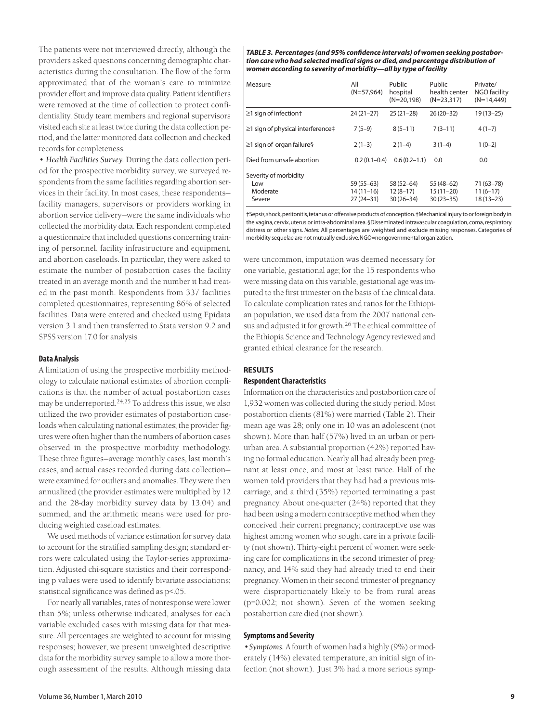The patients were not interviewed directly, although the providers asked questions concerning demographic characteristics during the consultation. The flow of the form approximated that of the woman's care to minimize provider effort and improve data quality. Patient identifiers were removed at the time of collection to protect confidentiality. Study team members and regional supervisors visited each site at least twice during the data collection period, and the latter monitored data collection and checked records for completeness.

*• Health Facilities Survey.* During the data collection period for the prospective morbidity survey, we surveyed respondents from the same facilities regarding abortion services in their facility. In most cases, these respondents facility managers, supervisors or providers working in abortion service delivery—were the same individuals who collected the morbidity data. Each respondent completed a questionnaire that included questions concerning training of personnel, facility infrastructure and equipment, and abortion caseloads. In particular, they were asked to estimate the number of postabortion cases the facility treated in an average month and the number it had treated in the past month. Respondents from 337 facilities completed questionnaires, representing 86% of selected facilities. Data were entered and checked using Epidata version 3.1 and then transferred to Stata version 9.2 and SPSS version 17.0 for analysis.

# **Data Analysis**

A limitation of using the prospective morbidity methodology to calculate national estimates of abortion complications is that the number of actual postabortion cases may be underreported.24,25 To address this issue, we also utilized the two provider estimates of postabortion caseloads when calculating national estimates; the provider figures were often higher than the numbers of abortion cases observed in the prospective morbidity methodology. These three figures—average monthly cases, last month's cases, and actual cases recorded during data collection were examined for outliers and anomalies. They were then annualized (the provider estimates were multiplied by 12 and the 28-day morbidity survey data by 13.04) and summed, and the arithmetic means were used for producing weighted caseload estimates.

We used methods of variance estimation for survey data to account for the stratified sampling design; standard errors were calculated using the Taylor-series approximation. Adjusted chi-square statistics and their corresponding p values were used to identify bivariate associations; statistical significance was defined as p<.05.

For nearly all variables, rates of nonresponse were lower than 5%; unless otherwise indicated, analyses for each variable excluded cases with missing data for that measure. All percentages are weighted to account for missing responses; however, we present unweighted descriptive data for the morbidity survey sample to allow a more thorough assessment of the results. Although missing data

*TABLE 3. Percentages (and 95% confidence intervals) of women seeking postabortion care who had selected medical signs or died, and percentage distribution of women according to severity of morbidity—all by type of facility*

| Measure                                            | All<br>$(N=57.964)$                      | Public<br>hospital<br>$(N=20,198)$         | Public<br>health center<br>$(N=23.317)$     | Private/<br>NGO facility<br>$(N=14.449)$  |
|----------------------------------------------------|------------------------------------------|--------------------------------------------|---------------------------------------------|-------------------------------------------|
| $\geq$ 1 sign of infection†                        | $24(21-27)$                              | $25(21-28)$                                | $26(20-32)$                                 | $19(13 - 25)$                             |
| $\geq$ 1 sign of physical interference‡            | $7(5-9)$                                 | $8(5-11)$                                  | $7(3-11)$                                   | $4(1-7)$                                  |
| $\geq$ 1 sign of organ failure§                    | $2(1-3)$                                 | $2(1-4)$                                   | $3(1-4)$                                    | $1(0-2)$                                  |
| Died from unsafe abortion                          | $0.2(0.1 - 0.4)$                         | $0.6(0.2 - 1.1)$                           | 0.0                                         | 0.0                                       |
| Severity of morbidity<br>Low<br>Moderate<br>Severe | $59(55-63)$<br>14 (11–16)<br>$27(24-31)$ | $58(52-64)$<br>$12(8-17)$<br>$30(26 - 34)$ | $55(48-62)$<br>$15(11-20)$<br>$30(23 - 35)$ | 71 (63–78)<br>$11(6-17)$<br>$18(13 - 23)$ |

†Sepsis,shock,peritonitis,tetanus or offensive products of conception.‡Mechanical injury to or foreign body in the vagina, cervix, uterus or intra-abdominal area. §Disseminated intravascular coagulation, coma, respiratory distress or other signs. *Notes:* All percentages are weighted and exclude missing responses. Categories of morbidity sequelae are not mutually exclusive.NGO=nongovernmental organization.

were uncommon, imputation was deemed necessary for one variable, gestational age; for the 15 respondents who were missing data on this variable, gestational age was imputed to the first trimester on the basis of the clinical data. To calculate complication rates and ratios for the Ethiopian population, we used data from the 2007 national census and adjusted it for growth.26 The ethical committee of the Ethiopia Science and Technology Agency reviewed and granted ethical clearance for the research.

#### **RESULTS**

#### **Respondent Characteristics**

Information on the characteristics and postabortion care of 1,932 women was collected during the study period. Most postabortion clients (81%) were married (Table 2). Their mean age was 28; only one in 10 was an adolescent (not shown). More than half (57%) lived in an urban or periurban area. A substantial proportion (42%) reported having no formal education. Nearly all had already been pregnant at least once, and most at least twice. Half of the women told providers that they had had a previous miscarriage, and a third (35%) reported terminating a past pregnancy. About one-quarter (24%) reported that they had been using a modern contraceptive method when they conceived their current pregnancy; contraceptive use was highest among women who sought care in a private facility (not shown). Thirty-eight percent of women were seeking care for complications in the second trimester of pregnancy, and 14% said they had already tried to end their pregnancy. Women in their second trimester of pregnancy were disproportionately likely to be from rural areas (p=0.002; not shown). Seven of the women seeking postabortion care died (not shown).

# **Symptoms and Severity**

*•Symptoms.* A fourth of women had a highly (9%) or moderately (14%) elevated temperature, an initial sign of infection (not shown). Just 3% had a more serious symp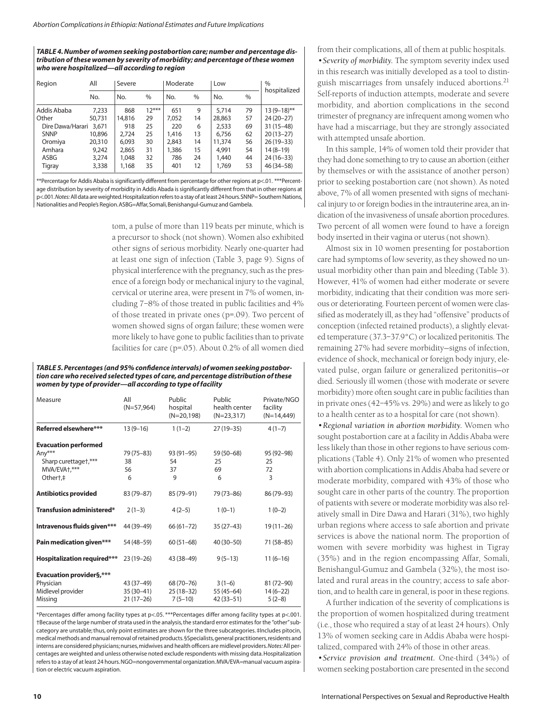*TABLE 4. Number of women seeking postabortion care; number and percentage distribution of these women by severity of morbidity; and percentage of these women who were hospitalized—all according to region*

| All<br>Region    |        | Severe |         | Moderate |               | Low    |               | $\%$          |
|------------------|--------|--------|---------|----------|---------------|--------|---------------|---------------|
|                  | No.    | No.    | %       | No.      | $\frac{0}{0}$ | No.    | $\frac{0}{6}$ | hospitalized  |
| Addis Ababa      | 7.233  | 868    | $12***$ | 651      | 9             | 5.714  | 79            | $13(9-18)$ ** |
| Other            | 50,731 | 14,816 | 29      | 7.052    | 14            | 28,863 | 57            | 24 (20-27)    |
| Dire Dawa/Harari | 3,671  | 918    | 25      | 220      | 6             | 2,533  | 69            | $31(15-48)$   |
| <b>SNNP</b>      | 10,896 | 2.724  | 25      | 1,416    | 13            | 6.756  | 62            | $20(13-27)$   |
| Oromiya          | 20,310 | 6.093  | 30      | 2.843    | 14            | 11,374 | 56            | $26(19-33)$   |
| Amhara           | 9.242  | 2.865  | 31      | 1,386    | 15            | 4.991  | 54            | $14(8-19)$    |
| ASBG             | 3,274  | 1,048  | 32      | 786      | 24            | 1,440  | 44            | 24 (16 - 33)  |
| Tigray           | 3,338  | 1,168  | 35      | 401      | 12            | 1,769  | 53            | $46(34 - 58)$ |

\*\*Percentage for Addis Ababa is significantly different from percentage for other regions at p<.01. \*\*\*Percentage distribution by severity of morbidity in Addis Abada is significantly different from that in other regions at p<.001.*Notes:*All data are weighted.Hospitalization refers to a stay of at least 24 hours.SNNP= Southern Nations, Nationalities and People's Region.ASBG=Affar,Somali,Benishangul-Gumuz and Gambela.

> tom, a pulse of more than 119 beats per minute, which is a precursor to shock (not shown). Women also exhibited other signs of serious morbidity. Nearly one-quarter had at least one sign of infection (Table 3, page 9). Signs of physical interference with the pregnancy, such as the presence of a foreign body or mechanical injury to the vaginal, cervical or uterine area, were present in 7% of women, including 7–8% of those treated in public facilities and 4% of those treated in private ones (p=.09). Two percent of women showed signs of organ failure; these women were more likely to have gone to public facilities than to private facilities for care (p=.05). About 0.2% of all women died

#### *TABLE 5. Percentages (and 95% confidence intervals) of women seeking postabortion care who received selected types of care, and percentage distribution of these women by type of provider—all according to type of facility*

| Measure                                                                                    | All<br>$(N=57,964)$                      | Public<br>hospital<br>$(N=20,198)$    | Public<br>health center<br>$(N=23,317)$ | Private/NGO<br>facility<br>$(N=14,449)$ |
|--------------------------------------------------------------------------------------------|------------------------------------------|---------------------------------------|-----------------------------------------|-----------------------------------------|
| Referred elsewhere***                                                                      | $13(9-16)$                               | $1(1-2)$                              | $27(19-35)$                             | $4(1-7)$                                |
| <b>Evacuation performed</b><br>Any***<br>Sharp curettaget,***<br>MVA/EVA+,***<br>Othert, ‡ | 79 (75–83)<br>38<br>56<br>6              | $93(91-95)$<br>54<br>37<br>9          | 59 (50-68)<br>25<br>69<br>6             | 95 (92-98)<br>25<br>72<br>3             |
| <b>Antibiotics provided</b>                                                                | 83 (79-87)                               | 85 (79-91)                            | 79 (73-86)                              | 86 (79-93)                              |
| Transfusion administered*                                                                  | $2(1-3)$                                 | $4(2-5)$                              | $1(0-1)$                                | $1(0-2)$                                |
| Intravenous fluids given***                                                                | 44 (39-49)                               | $66(61 - 72)$                         | $35(27-43)$                             | $19(11-26)$                             |
| Pain medication given***                                                                   | 54 (48-59)                               | $60(51-68)$                           | 40 (30-50)                              | 71 (58-85)                              |
| <b>Hospitalization required***</b>                                                         | $23(19-26)$                              | 43 (38-49)                            | $9(5-13)$                               | $11(6-16)$                              |
| <b>Evacuation provider§,***</b><br>Physician<br>Midlevel provider<br>Missing               | 43 (37-49)<br>$35(30-41)$<br>$21(17-26)$ | 68 (70–76)<br>25 (18–32)<br>$7(5-10)$ | $3(1-6)$<br>55 (45–64)<br>$42(33 - 51)$ | 81 (72-90)<br>$14(6-22)$<br>$5(2-8)$    |

\*Percentages differ among facility types at p<.05. \*\*\*Percentages differ among facility types at p<.001. †Because of the large number of strata used in the analysis, the standard error estimates for the "other"subcategory are unstable; thus, only point estimates are shown for the three subcategories. ‡Includes pitocin, medical methods and manual removal of retained products.§Specialists,general practitioners,residents and interns are considered physicians;nurses,midwives and health officers are midlevel providers.*Notes:*All percentages are weighted and unless otherwise noted exclude respondents with missing data.Hospitalization refers to a stay of at least 24 hours.NGO=nongovernmental organization.MVA/EVA=manual vacuum aspiration or electric vacuum aspiration.

from their complications, all of them at public hospitals. *•Severity of morbidity.* The symptom severity index used in this research was initially developed as a tool to distinguish miscarriages from unsafely induced abortions.<sup>21</sup> Self-reports of induction attempts, moderate and severe morbidity, and abortion complications in the second trimester of pregnancy are infrequent among women who have had a miscarriage, but they are strongly associated with attempted unsafe abortion.

In this sample, 14% of women told their provider that they had done something to try to cause an abortion (either by themselves or with the assistance of another person) prior to seeking postabortion care (not shown). As noted above, 7% of all women presented with signs of mechanical injury to or foreign bodies in the intrauterine area, an indication of the invasiveness of unsafe abortion procedures. Two percent of all women were found to have a foreign body inserted in their vagina or uterus (not shown).

Almost six in 10 women presenting for postabortion care had symptoms of low severity, as they showed no unusual morbidity other than pain and bleeding (Table 3). However, 41% of women had either moderate or severe morbidity, indicating that their condition was more serious or deteriorating. Fourteen percent of women were classified as moderately ill, as they had "offensive" products of conception (infected retained products), a slightly elevated temperature (37.3–37.9°C) or localized peritonitis. The remaining 27% had severe morbidity—signs of infection, evidence of shock, mechanical or foreign body injury, elevated pulse, organ failure or generalized peritonitis—or died. Seriously ill women (those with moderate or severe morbidity) more often sought care in public facilities than in private ones (42–45% vs. 29%) and were as likely to go to a health center as to a hospital for care (not shown).

*•Regional variation in abortion morbidity.* Women who sought postabortion care at a facility in Addis Ababa were less likely than those in other regions to have serious complications (Table 4). Only 21% of women who presented with abortion complications in Addis Ababa had severe or moderate morbidity, compared with 43% of those who sought care in other parts of the country. The proportion of patients with severe or moderate morbidity was also relatively small in Dire Dawa and Harari (31%), two highly urban regions where access to safe abortion and private services is above the national norm. The proportion of women with severe morbidity was highest in Tigray (35%) and in the region encompassing Affar, Somali, Benishangul-Gumuz and Gambela (32%), the most isolated and rural areas in the country; access to safe abortion, and to health care in general, is poor in these regions.

A further indication of the severity of complications is the proportion of women hospitalized during treatment (i.e., those who required a stay of at least 24 hours). Only 13% of women seeking care in Addis Ababa were hospitalized, compared with 24% of those in other areas.

*•Service provision and treatment.* One-third (34%) of women seeking postabortion care presented in the second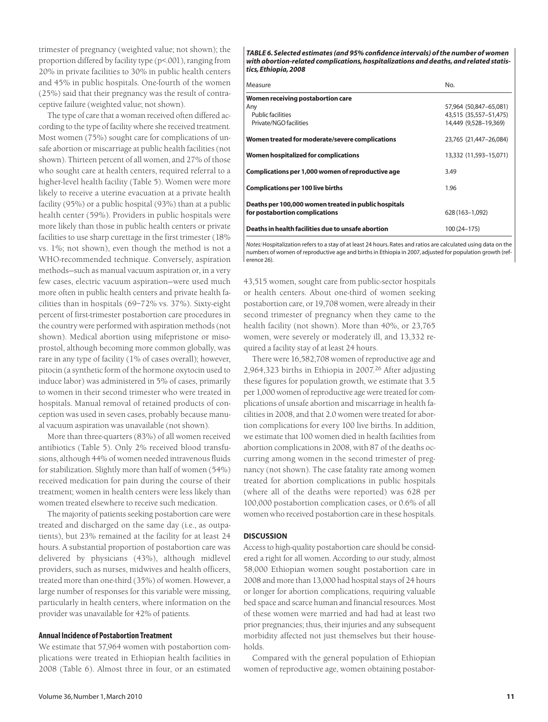trimester of pregnancy (weighted value; not shown); the proportion differed by facility type (p<.001), ranging from 20% in private facilities to 30% in public health centers and 45% in public hospitals. One-fourth of the women (25%) said that their pregnancy was the result of contraceptive failure (weighted value; not shown).

The type of care that a woman received often differed according to the type of facility where she received treatment. Most women (75%) sought care for complications of unsafe abortion or miscarriage at public health facilities (not shown). Thirteen percent of all women, and 27% of those who sought care at health centers, required referral to a higher-level health facility (Table 5). Women were more likely to receive a uterine evacuation at a private health facility (95%) or a public hospital (93%) than at a public health center (59%). Providers in public hospitals were more likely than those in public health centers or private facilities to use sharp curettage in the first trimester (18% vs. 1%; not shown), even though the method is not a WHO-recommended technique. Conversely, aspiration methods—such as manual vacuum aspiration or, in a very few cases, electric vacuum aspiration—were used much more often in public health centers and private health facilities than in hospitals (69–72% vs. 37%). Sixty-eight percent of first-trimester postabortion care procedures in the country were performed with aspiration methods (not shown). Medical abortion using mifepristone or misoprostol, although becoming more common globally, was rare in any type of facility (1% of cases overall); however, pitocin (a synthetic form of the hormone oxytocin used to induce labor) was administered in 5% of cases, primarily to women in their second trimester who were treated in hospitals. Manual removal of retained products of conception was used in seven cases, probably because manual vacuum aspiration was unavailable (not shown).

More than three-quarters (83%) of all women received antibiotics (Table 5). Only 2% received blood transfusions, although 44% of women needed intravenous fluids for stabilization. Slightly more than half of women (54%) received medication for pain during the course of their treatment; women in health centers were less likely than women treated elsewhere to receive such medication.

The majority of patients seeking postabortion care were treated and discharged on the same day (i.e., as outpatients), but 23% remained at the facility for at least 24 hours. A substantial proportion of postabortion care was delivered by physicians (43%), although midlevel providers, such as nurses, midwives and health officers, treated more than one-third (35%) of women. However, a large number of responses for this variable were missing, particularly in health centers, where information on the provider was unavailable for 42% of patients.

#### **Annual Incidence of Postabortion Treatment**

We estimate that 57,964 women with postabortion complications were treated in Ethiopian health facilities in 2008 (Table 6). Almost three in four, or an estimated

*TABLE 6. Selected estimates (and 95% confidence intervals) of the number of women with abortion-related complications, hospitalizations and deaths, and related statistics, Ethiopia, 2008*

| Measure                                              | No.                    |
|------------------------------------------------------|------------------------|
| Women receiving postabortion care                    |                        |
| Any                                                  | 57,964 (50,847-65,081) |
| <b>Public facilities</b>                             | 43,515 (35,557-51,475) |
| Private/NGO facilities                               | 14,449 (9,528-19,369)  |
| Women treated for moderate/severe complications      | 23,765 (21,447-26,084) |
| Women hospitalized for complications                 | 13,332 (11,593-15,071) |
| Complications per 1,000 women of reproductive age    | 3.49                   |
| <b>Complications per 100 live births</b>             | 1.96                   |
| Deaths per 100,000 women treated in public hospitals |                        |
| for postabortion complications                       | 628 (163-1.092)        |
| Deaths in health facilities due to unsafe abortion   | 100 (24 - 175)         |

*Notes:*Hospitalization refers to a stay of at least 24 hours. Rates and ratios are calculated using data on the numbers of women of reproductive age and births in Ethiopia in 2007, adjusted for population growth (reference 26).

43,515 women, sought care from public-sector hospitals or health centers. About one-third of women seeking postabortion care, or 19,708 women, were already in their second trimester of pregnancy when they came to the health facility (not shown). More than 40%, or 23,765 women, were severely or moderately ill, and 13,332 required a facility stay of at least 24 hours.

There were 16,582,708 women of reproductive age and 2,964,323 births in Ethiopia in 2007.<sup>26</sup> After adjusting these figures for population growth, we estimate that 3.5 per 1,000 women of reproductive age were treated for complications of unsafe abortion and miscarriage in health facilities in 2008, and that 2.0 women were treated for abortion complications for every 100 live births. In addition, we estimate that 100 women died in health facilities from abortion complications in 2008, with 87 of the deaths occurring among women in the second trimester of pregnancy (not shown). The case fatality rate among women treated for abortion complications in public hospitals (where all of the deaths were reported) was 628 per 100,000 postabortion complication cases, or 0.6% of all women who received postabortion care in these hospitals.

#### **DISCUSSION**

Access to high-quality postabortion care should be considered a right for all women. According to our study, almost 58,000 Ethiopian women sought postabortion care in 2008 and more than 13,000 had hospital stays of 24 hours or longer for abortion complications, requiring valuable bed space and scarce human and financial resources. Most of these women were married and had had at least two prior pregnancies; thus, their injuries and any subsequent morbidity affected not just themselves but their households.

Compared with the general population of Ethiopian women of reproductive age, women obtaining postabor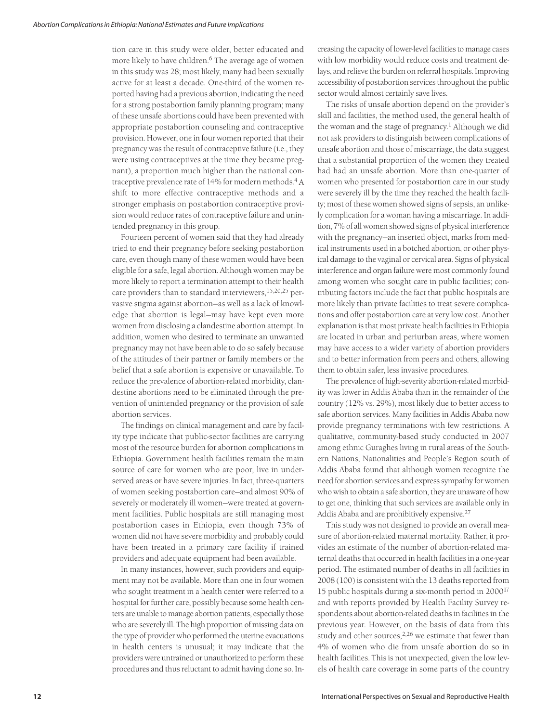tion care in this study were older, better educated and more likely to have children.<sup>6</sup> The average age of women in this study was 28; most likely, many had been sexually active for at least a decade. One-third of the women reported having had a previous abortion, indicating the need for a strong postabortion family planning program; many of these unsafe abortions could have been prevented with appropriate postabortion counseling and contraceptive provision. However, one in four women reported that their pregnancy was the result of contraceptive failure (i.e., they were using contraceptives at the time they became pregnant), a proportion much higher than the national contraceptive prevalence rate of 14% for modern methods.<sup>4</sup> A shift to more effective contraceptive methods and a stronger emphasis on postabortion contraceptive provision would reduce rates of contraceptive failure and unintended pregnancy in this group.

Fourteen percent of women said that they had already tried to end their pregnancy before seeking postabortion care, even though many of these women would have been eligible for a safe, legal abortion. Although women may be more likely to report a termination attempt to their health care providers than to standard interviewers,15,20,25 pervasive stigma against abortion—as well as a lack of knowledge that abortion is legal—may have kept even more women from disclosing a clandestine abortion attempt. In addition, women who desired to terminate an unwanted pregnancy may not have been able to do so safely because of the attitudes of their partner or family members or the belief that a safe abortion is expensive or unavailable. To reduce the prevalence of abortion-related morbidity, clandestine abortions need to be eliminated through the prevention of unintended pregnancy or the provision of safe abortion services.

The findings on clinical management and care by facility type indicate that public-sector facilities are carrying most of the resource burden for abortion complications in Ethiopia. Government health facilities remain the main source of care for women who are poor, live in underserved areas or have severe injuries. In fact, three-quarters of women seeking postabortion care—and almost 90% of severely or moderately ill women—were treated at government facilities. Public hospitals are still managing most postabortion cases in Ethiopia, even though 73% of women did not have severe morbidity and probably could have been treated in a primary care facility if trained providers and adequate equipment had been available.

In many instances, however, such providers and equipment may not be available. More than one in four women who sought treatment in a health center were referred to a hospital for further care, possibly because some health centers are unable to manage abortion patients, especially those who are severely ill. The high proportion of missing data on the type of provider who performed the uterine evacuations in health centers is unusual; it may indicate that the providers were untrained or unauthorized to perform these procedures and thus reluctant to admit having done so. In-

creasing the capacity of lower-level facilities to manage cases with low morbidity would reduce costs and treatment delays, and relieve the burden on referral hospitals. Improving accessibility of postabortion services throughout the public sector would almost certainly save lives.

The risks of unsafe abortion depend on the provider's skill and facilities, the method used, the general health of the woman and the stage of pregnancy.<sup>1</sup> Although we did not ask providers to distinguish between complications of unsafe abortion and those of miscarriage, the data suggest that a substantial proportion of the women they treated had had an unsafe abortion. More than one-quarter of women who presented for postabortion care in our study were severely ill by the time they reached the health facility; most of these women showed signs of sepsis, an unlikely complication for a woman having a miscarriage. In addition, 7% of all women showed signs of physical interference with the pregnancy—an inserted object, marks from medical instruments used in a botched abortion, or other physical damage to the vaginal or cervical area. Signs of physical interference and organ failure were most commonly found among women who sought care in public facilities; contributing factors include the fact that public hospitals are more likely than private facilities to treat severe complications and offer postabortion care at very low cost. Another explanation is that most private health facilities in Ethiopia are located in urban and periurban areas, where women may have access to a wider variety of abortion providers and to better information from peers and others, allowing them to obtain safer, less invasive procedures.

The prevalence of high-severity abortion-related morbidity was lower in Addis Ababa than in the remainder of the country (12% vs. 29%), most likely due to better access to safe abortion services. Many facilities in Addis Ababa now provide pregnancy terminations with few restrictions. A qualitative, community-based study conducted in 2007 among ethnic Guraghes living in rural areas of the Southern Nations, Nationalities and People's Region south of Addis Ababa found that although women recognize the need for abortion services and express sympathy for women who wish to obtain a safe abortion, they are unaware of how to get one, thinking that such services are available only in Addis Ababa and are prohibitively expensive.27

This study was not designed to provide an overall measure of abortion-related maternal mortality. Rather, it provides an estimate of the number of abortion-related maternal deaths that occurred in health facilities in a one-year period. The estimated number of deaths in all facilities in 2008 (100) is consistent with the 13 deaths reported from 15 public hospitals during a six-month period in 2000<sup>17</sup> and with reports provided by Health Facility Survey respondents about abortion-related deaths in facilities in the previous year. However, on the basis of data from this study and other sources, $2,26$  we estimate that fewer than 4% of women who die from unsafe abortion do so in health facilities. This is not unexpected, given the low levels of health care coverage in some parts of the country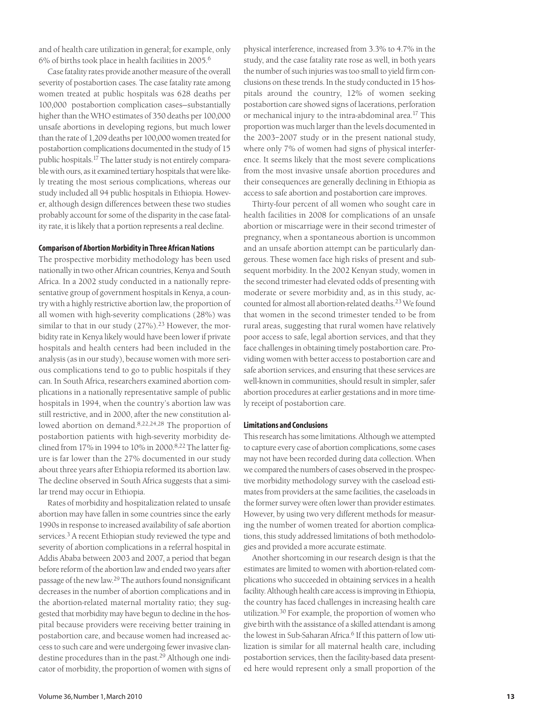and of health care utilization in general; for example, only 6% of births took place in health facilities in 2005.<sup>6</sup>

Case fatality rates provide another measure of the overall severity of postabortion cases. The case fatality rate among women treated at public hospitals was 628 deaths per 100,000 postabortion complication cases—substantially higher than the WHO estimates of 350 deaths per 100,000 unsafe abortions in developing regions, but much lower than the rate of 1,209 deaths per 100,000 women treated for postabortion complications documented in the study of 15 public hospitals.17 The latter study is not entirely comparable with ours, as it examined tertiary hospitals that were likely treating the most serious complications, whereas our study included all 94 public hospitals in Ethiopia. However, although design differences between these two studies probably account for some of the disparity in the case fatality rate, it is likely that a portion represents a real decline.

# **Comparison of Abortion Morbidity in Three African Nations**

The prospective morbidity methodology has been used nationally in two other African countries, Kenya and South Africa. In a 2002 study conducted in a nationally representative group of government hospitals in Kenya, a country with a highly restrictive abortion law, the proportion of all women with high-severity complications (28%) was similar to that in our study  $(27\%)$ .<sup>23</sup> However, the morbidity rate in Kenya likely would have been lower if private hospitals and health centers had been included in the analysis (as in our study), because women with more serious complications tend to go to public hospitals if they can. In South Africa, researchers examined abortion complications in a nationally representative sample of public hospitals in 1994, when the country's abortion law was still restrictive, and in 2000, after the new constitution allowed abortion on demand.8,22,24,28 The proportion of postabortion patients with high-severity morbidity declined from 17% in 1994 to 10% in 2000.8,22 The latter figure is far lower than the 27% documented in our study about three years after Ethiopia reformed its abortion law. The decline observed in South Africa suggests that a similar trend may occur in Ethiopia.

Rates of morbidity and hospitalization related to unsafe abortion may have fallen in some countries since the early 1990s in response to increased availability of safe abortion services.3 A recent Ethiopian study reviewed the type and severity of abortion complications in a referral hospital in Addis Ababa between 2003 and 2007, a period that began before reform of the abortion law and ended two years after passage of the new law.29 The authors found nonsignificant decreases in the number of abortion complications and in the abortion-related maternal mortality ratio; they suggested that morbidity may have begun to decline in the hospital because providers were receiving better training in postabortion care, and because women had increased access to such care and were undergoing fewer invasive clandestine procedures than in the past.29 Although one indicator of morbidity, the proportion of women with signs of physical interference, increased from 3.3% to 4.7% in the study, and the case fatality rate rose as well, in both years the number of such injuries was too small to yield firm conclusions on these trends. In the study conducted in 15 hospitals around the country, 12% of women seeking postabortion care showed signs of lacerations, perforation or mechanical injury to the intra-abdominal area.<sup>17</sup> This proportion was much larger than the levels documented in the 2003–2007 study or in the present national study, where only 7% of women had signs of physical interference. It seems likely that the most severe complications from the most invasive unsafe abortion procedures and their consequences are generally declining in Ethiopia as access to safe abortion and postabortion care improves.

Thirty-four percent of all women who sought care in health facilities in 2008 for complications of an unsafe abortion or miscarriage were in their second trimester of pregnancy, when a spontaneous abortion is uncommon and an unsafe abortion attempt can be particularly dangerous. These women face high risks of present and subsequent morbidity. In the 2002 Kenyan study, women in the second trimester had elevated odds of presenting with moderate or severe morbidity and, as in this study, accounted for almost all abortion-related deaths.23 We found that women in the second trimester tended to be from rural areas, suggesting that rural women have relatively poor access to safe, legal abortion services, and that they face challenges in obtaining timely postabortion care. Providing women with better access to postabortion care and safe abortion services, and ensuring that these services are well-known in communities, should result in simpler, safer abortion procedures at earlier gestations and in more timely receipt of postabortion care.

#### **Limitations and Conclusions**

This research has some limitations. Although we attempted to capture every case of abortion complications, some cases may not have been recorded during data collection. When we compared the numbers of cases observed in the prospective morbidity methodology survey with the caseload estimates from providers at the same facilities, the caseloads in the former survey were often lower than provider estimates. However, by using two very different methods for measuring the number of women treated for abortion complications, this study addressed limitations of both methodologies and provided a more accurate estimate.

Another shortcoming in our research design is that the estimates are limited to women with abortion-related complications who succeeded in obtaining services in a health facility. Although health care access is improving in Ethiopia, the country has faced challenges in increasing health care utilization.30 For example, the proportion of women who give birth with the assistance of a skilled attendant is among the lowest in Sub-Saharan Africa.<sup>6</sup> If this pattern of low utilization is similar for all maternal health care, including postabortion services, then the facility-based data presented here would represent only a small proportion of the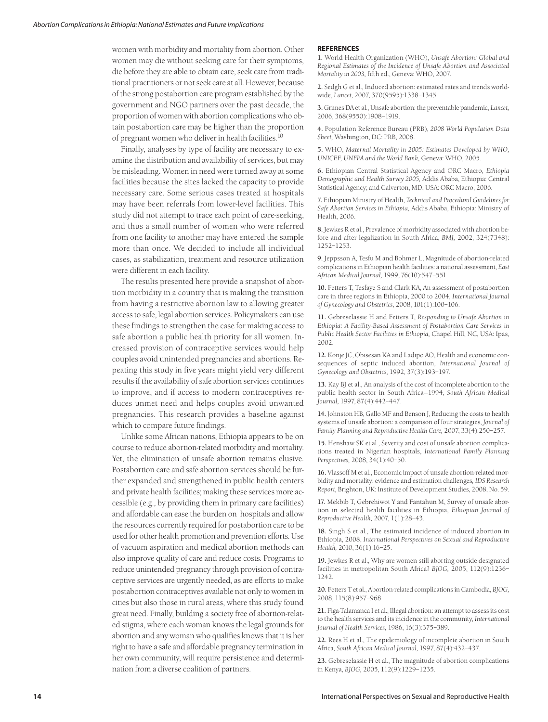women with morbidity and mortality from abortion. Other women may die without seeking care for their symptoms, die before they are able to obtain care, seek care from traditional practitioners or not seek care at all. However, because of the strong postabortion care program established by the government and NGO partners over the past decade, the proportion of women with abortion complications who obtain postabortion care may be higher than the proportion of pregnant women who deliver in health facilities.10

Finally, analyses by type of facility are necessary to examine the distribution and availability of services, but may be misleading. Women in need were turned away at some facilities because the sites lacked the capacity to provide necessary care. Some serious cases treated at hospitals may have been referrals from lower-level facilities. This study did not attempt to trace each point of care-seeking, and thus a small number of women who were referred from one facility to another may have entered the sample more than once. We decided to include all individual cases, as stabilization, treatment and resource utilization were different in each facility.

The results presented here provide a snapshot of abortion morbidity in a country that is making the transition from having a restrictive abortion law to allowing greater access to safe, legal abortion services. Policymakers can use these findings to strengthen the case for making access to safe abortion a public health priority for all women. Increased provision of contraceptive services would help couples avoid unintended pregnancies and abortions. Repeating this study in five years might yield very different results if the availability of safe abortion services continues to improve, and if access to modern contraceptives reduces unmet need and helps couples avoid unwanted pregnancies. This research provides a baseline against which to compare future findings.

Unlike some African nations, Ethiopia appears to be on course to reduce abortion-related morbidity and mortality. Yet, the elimination of unsafe abortion remains elusive. Postabortion care and safe abortion services should be further expanded and strengthened in public health centers and private health facilities; making these services more accessible (e.g., by providing them in primary care facilities) and affordable can ease the burden on hospitals and allow the resources currently required for postabortion care to be used for other health promotion and prevention efforts. Use of vacuum aspiration and medical abortion methods can also improve quality of care and reduce costs. Programs to reduce unintended pregnancy through provision of contraceptive services are urgently needed, as are efforts to make postabortion contraceptives available not only to women in cities but also those in rural areas, where this study found great need. Finally, building a society free of abortion-related stigma, where each woman knows the legal grounds for abortion and any woman who qualifies knows that it is her right to have a safe and affordable pregnancy termination in her own community, will require persistence and determination from a diverse coalition of partners.

#### **REFERENCES**

**1.** World Health Organization (WHO), *Unsafe Abortion: Global and Regional Estimates of the Incidence of Unsafe Abortion and Associated Mortality in 2003,* fifth ed., Geneva: WHO, 2007.

**2.** Sedgh G et al., Induced abortion: estimated rates and trends worldwide, *Lancet,* 2007, 370(9595):1338–1345.

**3.** Grimes DA et al., Unsafe abortion: the preventable pandemic, *Lancet,* 2006, 368(9550):1908–1919.

**4.** Population Reference Bureau (PRB), *2008 World Population Data Sheet,* Washington, DC: PRB, 2008.

**5.** WHO, *Maternal Mortality in 2005: Estimates Developed by WHO, UNICEF, UNFPA and the World Bank,* Geneva: WHO, 2005.

**6.** Ethiopian Central Statistical Agency and ORC Macro, *Ethiopia Demographic and Health Survey 2005,* Addis Ababa, Ethiopia: Central Statistical Agency; and Calverton, MD, USA: ORC Macro, 2006.

**7.** Ethiopian Ministry of Health, *Technical and Procedural Guidelines for Safe Abortion Services in Ethiopia,* Addis Ababa, Ethiopia: Ministry of Health, 2006.

**8.** Jewkes R et al., Prevalence of morbidity associated with abortion before and after legalization in South Africa, *BMJ,* 2002, 324(7348): 1252–1253.

**9.** Jeppsson A, Tesfu M and Bohmer L, Magnitude of abortion-related complications in Ethiopian health facilities: a national assessment, *East African Medical Journal,* 1999, 76(10):547–551.

**10.** Fetters T, Tesfaye S and Clark KA, An assessment of postabortion care in three regions in Ethiopia, 2000 to 2004, *International Journal of Gynecology and Obstetrics,* 2008, 101(1):100–106.

**11.** Gebreselassie H and Fetters T, *Responding to Unsafe Abortion in Ethiopia: A Facility-Based Assessment of Postabortion Care Services in Public Health Sector Facilities in Ethiopia,* Chapel Hill, NC, USA: Ipas, 2002.

**12.** Konje JC, Obisesan KA and Ladipo AO, Health and economic consequences of septic induced abortion, *International Journal of Gynecology and Obstetrics,* 1992, 37(3):193–197.

**13.** Kay BJ et al., An analysis of the cost of incomplete abortion to the public health sector in South Africa—1994, *South African Medical Journal,* 1997, 87(4):442–447.

**14.** Johnston HB, Gallo MF and Benson J, Reducing the costs to health systems of unsafe abortion: a comparison of four strategies, *Journal of Family Planning and Reproductive Health Care,* 2007, 33(4):250–257.

**15.** Henshaw SK et al., Severity and cost of unsafe abortion complications treated in Nigerian hospitals, *International Family Planning Perspectives,* 2008, 34(1):40–50.

**16.** Vlassoff M et al., Economic impact of unsafe abortion-related morbidity and mortality: evidence and estimation challenges*, IDS Research Report,* Brighton, UK: Institute of Development Studies, 2008, No. 59.

**17.** Mekbib T, Gebrehiwot Y and Fantahun M, Survey of unsafe abortion in selected health facilities in Ethiopia, *Ethiopian Journal of Reproductive Health,* 2007, 1(1):28–43.

**18.** Singh S et al., The estimated incidence of induced abortion in Ethiopia, 2008, *International Perspectives on Sexual and Reproductive Health,* 2010, 36(1):16–25.

**19.** Jewkes R et al., Why are women still aborting outside designated facilities in metropolitan South Africa? *BJOG,* 2005, 112(9):1236– 1242.

**20.** Fetters T et al., Abortion-related complications in Cambodia, *BJOG,* 2008, 115(8):957–968.

**21.** Figa-Talamanca I et al., Illegal abortion: an attempt to assess its cost to the health services and its incidence in the community, *International Journal of Health Services,* 1986, 16(3):375–389.

**22.** Rees H et al., The epidemiology of incomplete abortion in South Africa, *South African Medical Journal,* 1997, 87(4):432–437.

**23.** Gebreselassie H et al., The magnitude of abortion complications in Kenya, *BJOG,* 2005, 112(9):1229–1235.